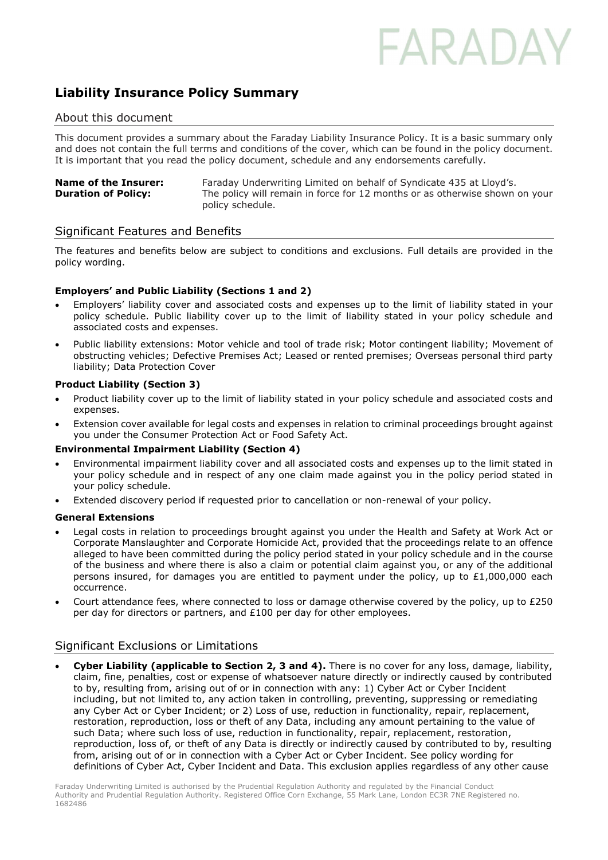# FARADA

### Liability Insurance Policy Summary

#### About this document

This document provides a summary about the Faraday Liability Insurance Policy. It is a basic summary only and does not contain the full terms and conditions of the cover, which can be found in the policy document. It is important that you read the policy document, schedule and any endorsements carefully.

| <b>Name of the Insurer:</b> | Faraday Underwriting Limited on behalf of Syndicate 435 at Lloyd's.         |
|-----------------------------|-----------------------------------------------------------------------------|
| <b>Duration of Policy:</b>  | The policy will remain in force for 12 months or as otherwise shown on your |
|                             | policy schedule.                                                            |

#### Significant Features and Benefits

The features and benefits below are subject to conditions and exclusions. Full details are provided in the policy wording.

#### Employers' and Public Liability (Sections 1 and 2)

- Employers' liability cover and associated costs and expenses up to the limit of liability stated in your policy schedule. Public liability cover up to the limit of liability stated in your policy schedule and associated costs and expenses.
- Public liability extensions: Motor vehicle and tool of trade risk; Motor contingent liability; Movement of obstructing vehicles; Defective Premises Act; Leased or rented premises; Overseas personal third party liability; Data Protection Cover

#### Product Liability (Section 3)

- Product liability cover up to the limit of liability stated in your policy schedule and associated costs and expenses.
- Extension cover available for legal costs and expenses in relation to criminal proceedings brought against you under the Consumer Protection Act or Food Safety Act.

#### Environmental Impairment Liability (Section 4)

- Environmental impairment liability cover and all associated costs and expenses up to the limit stated in your policy schedule and in respect of any one claim made against you in the policy period stated in your policy schedule.
- Extended discovery period if requested prior to cancellation or non-renewal of your policy.

#### General Extensions

- Legal costs in relation to proceedings brought against you under the Health and Safety at Work Act or Corporate Manslaughter and Corporate Homicide Act, provided that the proceedings relate to an offence alleged to have been committed during the policy period stated in your policy schedule and in the course of the business and where there is also a claim or potential claim against you, or any of the additional persons insured, for damages you are entitled to payment under the policy, up to  $£1,000,000$  each occurrence.
- Court attendance fees, where connected to loss or damage otherwise covered by the policy, up to £250 per day for directors or partners, and £100 per day for other employees.

#### Significant Exclusions or Limitations

Cyber Liability (applicable to Section 2, 3 and 4). There is no cover for any loss, damage, liability, claim, fine, penalties, cost or expense of whatsoever nature directly or indirectly caused by contributed to by, resulting from, arising out of or in connection with any: 1) Cyber Act or Cyber Incident including, but not limited to, any action taken in controlling, preventing, suppressing or remediating any Cyber Act or Cyber Incident; or 2) Loss of use, reduction in functionality, repair, replacement, restoration, reproduction, loss or theft of any Data, including any amount pertaining to the value of such Data; where such loss of use, reduction in functionality, repair, replacement, restoration, reproduction, loss of, or theft of any Data is directly or indirectly caused by contributed to by, resulting from, arising out of or in connection with a Cyber Act or Cyber Incident. See policy wording for definitions of Cyber Act, Cyber Incident and Data. This exclusion applies regardless of any other cause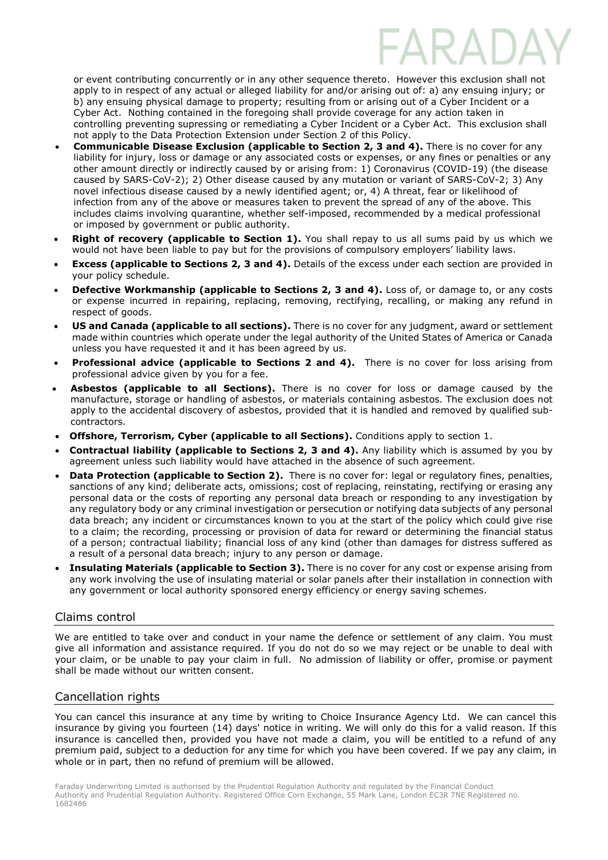or event contributing concurrently or in any other sequence thereto. However this exclusion shall not apply to in respect of any actual or alleged liability for and/or arising out of: a) any ensuing injury; or b) any ensuing physical damage to property; resulting from or arising out of a Cyber Incident or a Cyber Act. Nothing contained in the foregoing shall provide coverage for any action taken in controlling preventing supressing or remediating a Cyber Incident or a Cyber Act. This exclusion shall not apply to the Data Protection Extension under Section 2 of this Policy.

- Communicable Disease Exclusion (applicable to Section 2, 3 and 4). There is no cover for any liability for injury, loss or damage or any associated costs or expenses, or any fines or penalties or any other amount directly or indirectly caused by or arising from: 1) Coronavirus (COVID-19) (the disease caused by SARS-CoV-2); 2) Other disease caused by any mutation or variant of SARS-CoV-2; 3) Any novel infectious disease caused by a newly identified agent; or, 4) A threat, fear or likelihood of infection from any of the above or measures taken to prevent the spread of any of the above. This includes claims involving quarantine, whether self-imposed, recommended by a medical professional or imposed by government or public authority.
- **Right of recovery (applicable to Section 1).** You shall repay to us all sums paid by us which we would not have been liable to pay but for the provisions of compulsory employers' liability laws.
- **Excess (applicable to Sections 2, 3 and 4).** Details of the excess under each section are provided in your policy schedule.
- Defective Workmanship (applicable to Sections 2, 3 and 4). Loss of, or damage to, or any costs or expense incurred in repairing, replacing, removing, rectifying, recalling, or making any refund in respect of goods.
- US and Canada (applicable to all sections). There is no cover for any judgment, award or settlement made within countries which operate under the legal authority of the United States of America or Canada unless you have requested it and it has been agreed by us.
- Professional advice (applicable to Sections 2 and 4). There is no cover for loss arising from professional advice given by you for a fee.
- Asbestos (applicable to all Sections). There is no cover for loss or damage caused by the manufacture, storage or handling of asbestos, or materials containing asbestos. The exclusion does not apply to the accidental discovery of asbestos, provided that it is handled and removed by qualified subcontractors.
- Offshore, Terrorism, Cyber (applicable to all Sections). Conditions apply to section 1.
- Contractual liability (applicable to Sections 2, 3 and 4). Any liability which is assumed by you by agreement unless such liability would have attached in the absence of such agreement.
- Data Protection (applicable to Section 2). There is no cover for: legal or regulatory fines, penalties, sanctions of any kind; deliberate acts, omissions; cost of replacing, reinstating, rectifying or erasing any personal data or the costs of reporting any personal data breach or responding to any investigation by any regulatory body or any criminal investigation or persecution or notifying data subjects of any personal data breach; any incident or circumstances known to you at the start of the policy which could give rise to a claim; the recording, processing or provision of data for reward or determining the financial status of a person; contractual liability; financial loss of any kind (other than damages for distress suffered as a result of a personal data breach; injury to any person or damage.
- Insulating Materials (applicable to Section 3). There is no cover for any cost or expense arising from any work involving the use of insulating material or solar panels after their installation in connection with any government or local authority sponsored energy efficiency or energy saving schemes.

### Claims control

We are entitled to take over and conduct in your name the defence or settlement of any claim. You must give all information and assistance required. If you do not do so we may reject or be unable to deal with your claim, or be unable to pay your claim in full. No admission of liability or offer, promise or payment shall be made without our written consent.

### Cancellation rights

You can cancel this insurance at any time by writing to Choice Insurance Agency Ltd. We can cancel this insurance by giving you fourteen (14) days' notice in writing. We will only do this for a valid reason. If this insurance is cancelled then, provided you have not made a claim, you will be entitled to a refund of any premium paid, subject to a deduction for any time for which you have been covered. If we pay any claim, in whole or in part, then no refund of premium will be allowed.